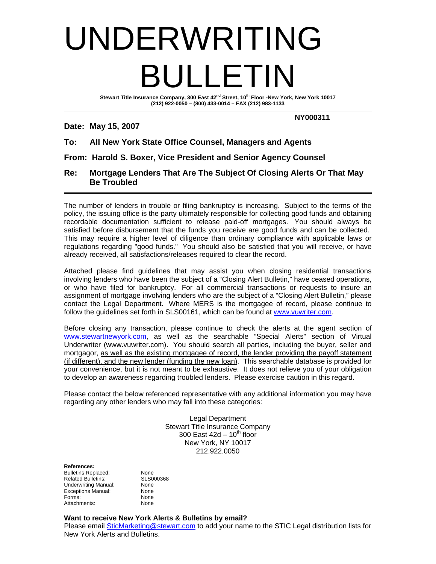# UNDERWRITING BULLETIN

Stewart Title Insurance Company, 300 East 42<sup>nd</sup> Street, 10<sup>th</sup> Floor -New York, New York 10017 **(212) 922-0050 – (800) 433-0014 – FAX (212) 983-1133** 

#### **Date: May 15, 2007**

 **NY000311** 

# **To: All New York State Office Counsel, Managers and Agents**

**From: Harold S. Boxer, Vice President and Senior Agency Counsel** 

### **Re: Mortgage Lenders That Are The Subject Of Closing Alerts Or That May Be Troubled**

The number of lenders in trouble or filing bankruptcy is increasing. Subject to the terms of the policy, the issuing office is the party ultimately responsible for collecting good funds and obtaining recordable documentation sufficient to release paid-off mortgages. You should always be satisfied before disbursement that the funds you receive are good funds and can be collected. This may require a higher level of diligence than ordinary compliance with applicable laws or regulations regarding "good funds." You should also be satisfied that you will receive, or have already received, all satisfactions/releases required to clear the record.

Attached please find guidelines that may assist you when closing residential transactions involving lenders who have been the subject of a "Closing Alert Bulletin," have ceased operations, or who have filed for bankruptcy. For all commercial transactions or requests to insure an assignment of mortgage involving lenders who are the subject of a "Closing Alert Bulletin," please contact the Legal Department. Where MERS is the mortgagee of record, please continue to follow the guidelines set forth in SLS00161, which can be found at www.vuwriter.com.

Before closing any transaction, please continue to check the alerts at the agent section of www.stewartnewyork.com, as well as the searchable "Special Alerts" section of Virtual Underwriter (www.vuwriter.com). You should search all parties, including the buyer, seller and mortgagor, as well as the existing mortgagee of record, the lender providing the payoff statement (if different), and the new lender (funding the new loan). This searchable database is provided for your convenience, but it is not meant to be exhaustive. It does not relieve you of your obligation to develop an awareness regarding troubled lenders. Please exercise caution in this regard.

Please contact the below referenced representative with any additional information you may have regarding any other lenders who may fall into these categories:

> Legal Department Stewart Title Insurance Company 300 East  $42d - 10^{th}$  floor New York, NY 10017 212.922.0050

#### **References:**

Bulletins Replaced: Mone<br>
Related Bulletins: SLS000368 Related Bulletins: Underwriting Manual: None Exceptions Manual: None Forms: None Attachments: None

#### **Want to receive New York Alerts & Bulletins by email?**

Please email SticMarketing@stewart.com to add your name to the STIC Legal distribution lists for New York Alerts and Bulletins.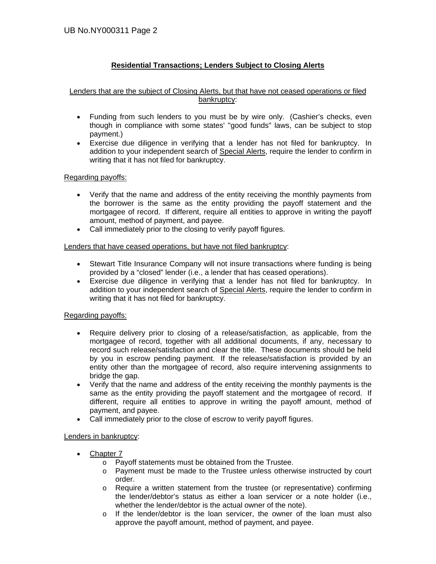## **Residential Transactions; Lenders Subject to Closing Alerts**

#### Lenders that are the subject of Closing Alerts, but that have not ceased operations or filed bankruptcy:

- Funding from such lenders to you must be by wire only. (Cashier's checks, even though in compliance with some states' "good funds" laws, can be subject to stop payment.)
- Exercise due diligence in verifying that a lender has not filed for bankruptcy. In addition to your independent search of Special Alerts, require the lender to confirm in writing that it has not filed for bankruptcy.

#### Regarding payoffs:

- Verify that the name and address of the entity receiving the monthly payments from the borrower is the same as the entity providing the payoff statement and the mortgagee of record. If different, require all entities to approve in writing the payoff amount, method of payment, and payee.
- Call immediately prior to the closing to verify payoff figures.

#### Lenders that have ceased operations, but have not filed bankruptcy:

- Stewart Title Insurance Company will not insure transactions where funding is being provided by a "closed" lender (i.e., a lender that has ceased operations).
- Exercise due diligence in verifying that a lender has not filed for bankruptcy. In addition to your independent search of Special Alerts, require the lender to confirm in writing that it has not filed for bankruptcy.

#### Regarding payoffs:

- Require delivery prior to closing of a release/satisfaction, as applicable, from the mortgagee of record, together with all additional documents, if any, necessary to record such release/satisfaction and clear the title. These documents should be held by you in escrow pending payment. If the release/satisfaction is provided by an entity other than the mortgagee of record, also require intervening assignments to bridge the gap.
- Verify that the name and address of the entity receiving the monthly payments is the same as the entity providing the payoff statement and the mortgagee of record. If different, require all entities to approve in writing the payoff amount, method of payment, and payee.
- Call immediately prior to the close of escrow to verify payoff figures.

#### Lenders in bankruptcy:

- Chapter 7
	- o Payoff statements must be obtained from the Trustee.
	- o Payment must be made to the Trustee unless otherwise instructed by court order.
	- o Require a written statement from the trustee (or representative) confirming the lender/debtor's status as either a loan servicer or a note holder (i.e., whether the lender/debtor is the actual owner of the note).
	- o If the lender/debtor is the loan servicer, the owner of the loan must also approve the payoff amount, method of payment, and payee.